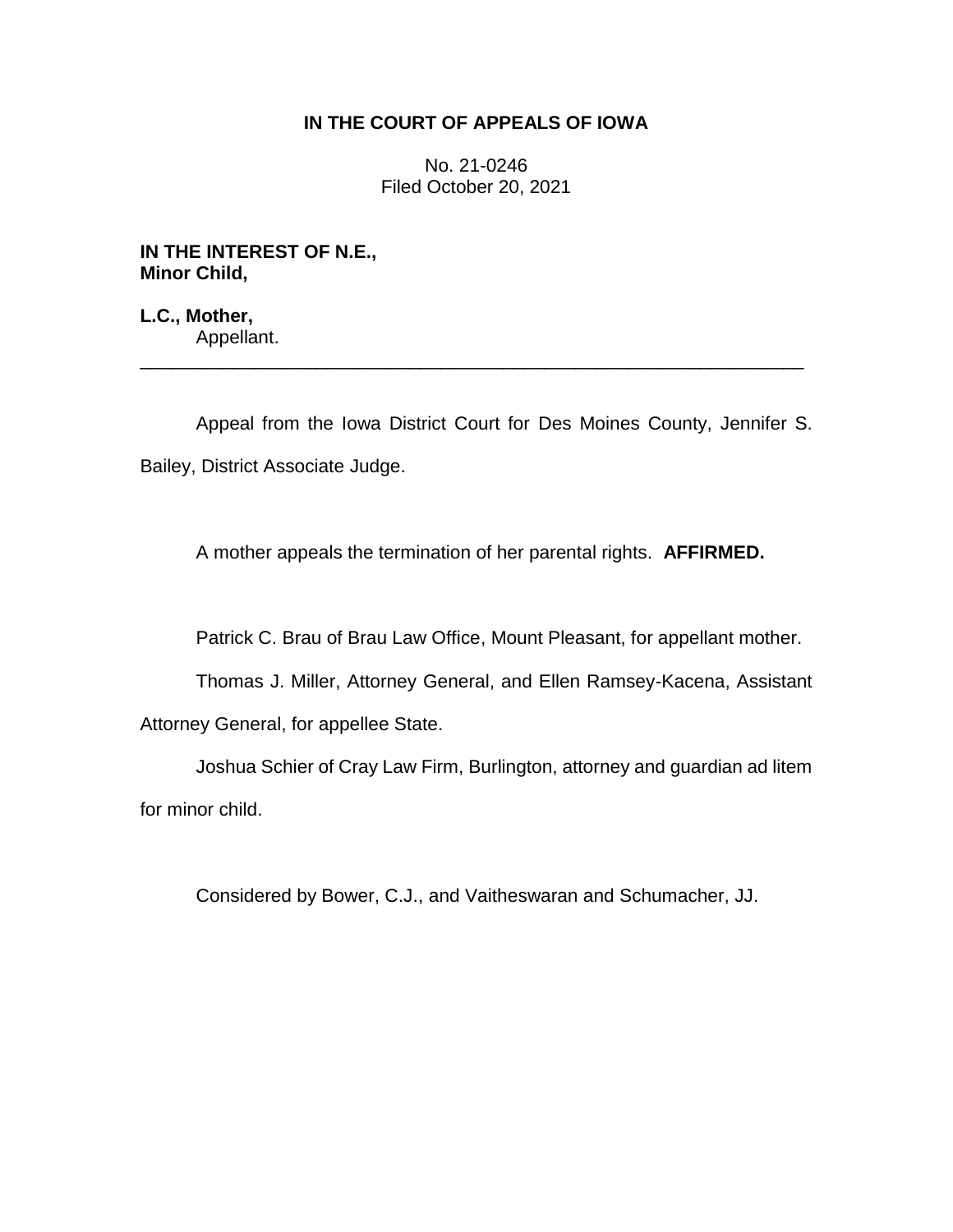## **IN THE COURT OF APPEALS OF IOWA**

No. 21-0246 Filed October 20, 2021

**IN THE INTEREST OF N.E., Minor Child,**

**L.C., Mother,** Appellant.

Appeal from the Iowa District Court for Des Moines County, Jennifer S. Bailey, District Associate Judge.

\_\_\_\_\_\_\_\_\_\_\_\_\_\_\_\_\_\_\_\_\_\_\_\_\_\_\_\_\_\_\_\_\_\_\_\_\_\_\_\_\_\_\_\_\_\_\_\_\_\_\_\_\_\_\_\_\_\_\_\_\_\_\_\_

A mother appeals the termination of her parental rights. **AFFIRMED.**

Patrick C. Brau of Brau Law Office, Mount Pleasant, for appellant mother.

Thomas J. Miller, Attorney General, and Ellen Ramsey-Kacena, Assistant

Attorney General, for appellee State.

Joshua Schier of Cray Law Firm, Burlington, attorney and guardian ad litem for minor child.

Considered by Bower, C.J., and Vaitheswaran and Schumacher, JJ.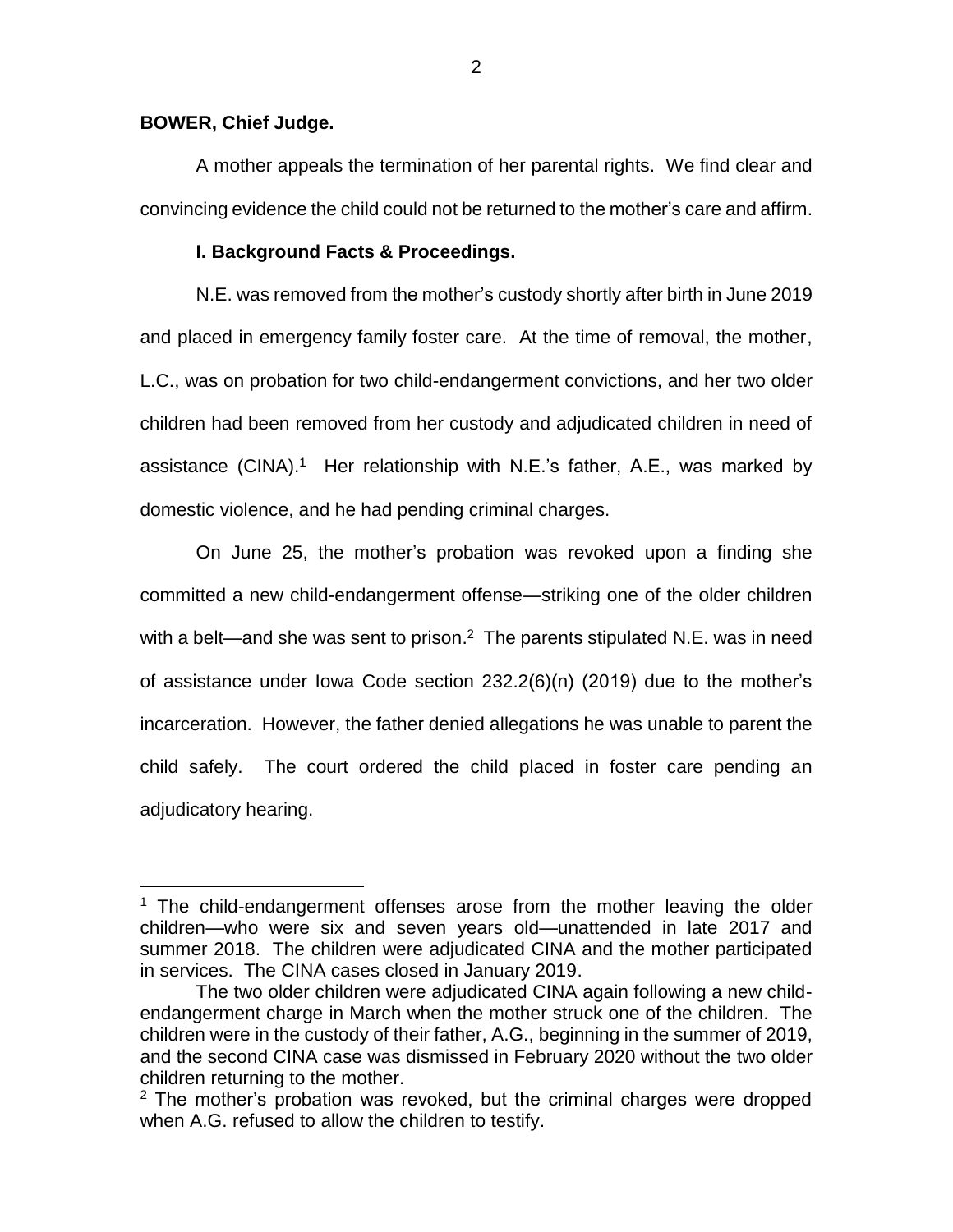### **BOWER, Chief Judge.**

 $\overline{a}$ 

A mother appeals the termination of her parental rights. We find clear and convincing evidence the child could not be returned to the mother's care and affirm.

#### **I. Background Facts & Proceedings.**

N.E. was removed from the mother's custody shortly after birth in June 2019 and placed in emergency family foster care. At the time of removal, the mother, L.C., was on probation for two child-endangerment convictions, and her two older children had been removed from her custody and adjudicated children in need of assistance (CINA).<sup>1</sup> Her relationship with N.E.'s father, A.E., was marked by domestic violence, and he had pending criminal charges.

On June 25, the mother's probation was revoked upon a finding she committed a new child-endangerment offense—striking one of the older children with a belt—and she was sent to prison.<sup>2</sup> The parents stipulated N.E. was in need of assistance under Iowa Code section 232.2(6)(n) (2019) due to the mother's incarceration. However, the father denied allegations he was unable to parent the child safely. The court ordered the child placed in foster care pending an adjudicatory hearing.

<sup>1</sup> The child-endangerment offenses arose from the mother leaving the older children—who were six and seven years old—unattended in late 2017 and summer 2018. The children were adjudicated CINA and the mother participated in services. The CINA cases closed in January 2019.

The two older children were adjudicated CINA again following a new childendangerment charge in March when the mother struck one of the children. The children were in the custody of their father, A.G., beginning in the summer of 2019, and the second CINA case was dismissed in February 2020 without the two older children returning to the mother.

 $2$  The mother's probation was revoked, but the criminal charges were dropped when A.G. refused to allow the children to testify.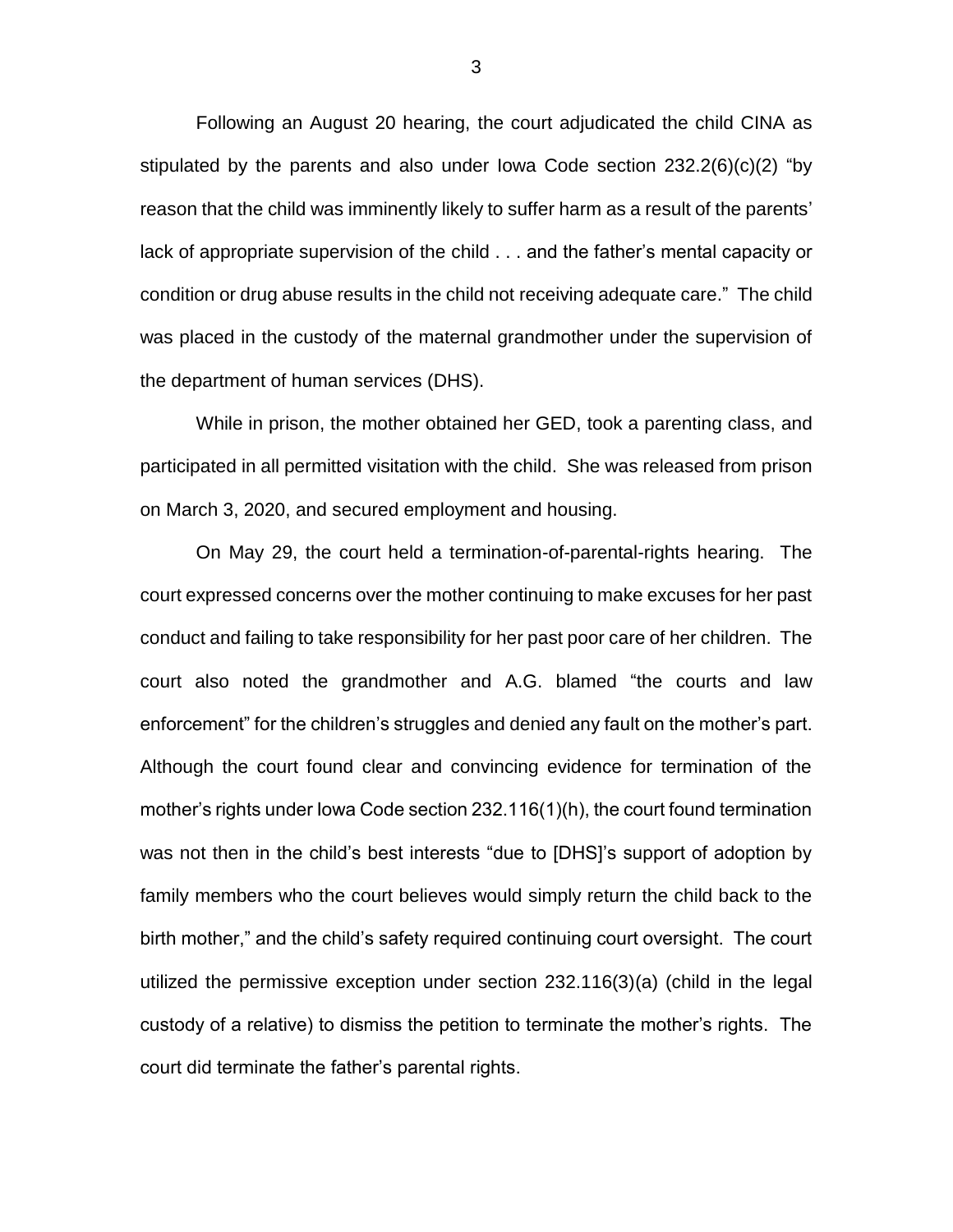Following an August 20 hearing, the court adjudicated the child CINA as stipulated by the parents and also under Iowa Code section 232.2(6)(c)(2) "by reason that the child was imminently likely to suffer harm as a result of the parents' lack of appropriate supervision of the child . . . and the father's mental capacity or condition or drug abuse results in the child not receiving adequate care." The child was placed in the custody of the maternal grandmother under the supervision of the department of human services (DHS).

While in prison, the mother obtained her GED, took a parenting class, and participated in all permitted visitation with the child. She was released from prison on March 3, 2020, and secured employment and housing.

On May 29, the court held a termination-of-parental-rights hearing. The court expressed concerns over the mother continuing to make excuses for her past conduct and failing to take responsibility for her past poor care of her children. The court also noted the grandmother and A.G. blamed "the courts and law enforcement" for the children's struggles and denied any fault on the mother's part. Although the court found clear and convincing evidence for termination of the mother's rights under Iowa Code section 232.116(1)(h), the court found termination was not then in the child's best interests "due to [DHS]'s support of adoption by family members who the court believes would simply return the child back to the birth mother," and the child's safety required continuing court oversight. The court utilized the permissive exception under section 232.116(3)(a) (child in the legal custody of a relative) to dismiss the petition to terminate the mother's rights. The court did terminate the father's parental rights.

3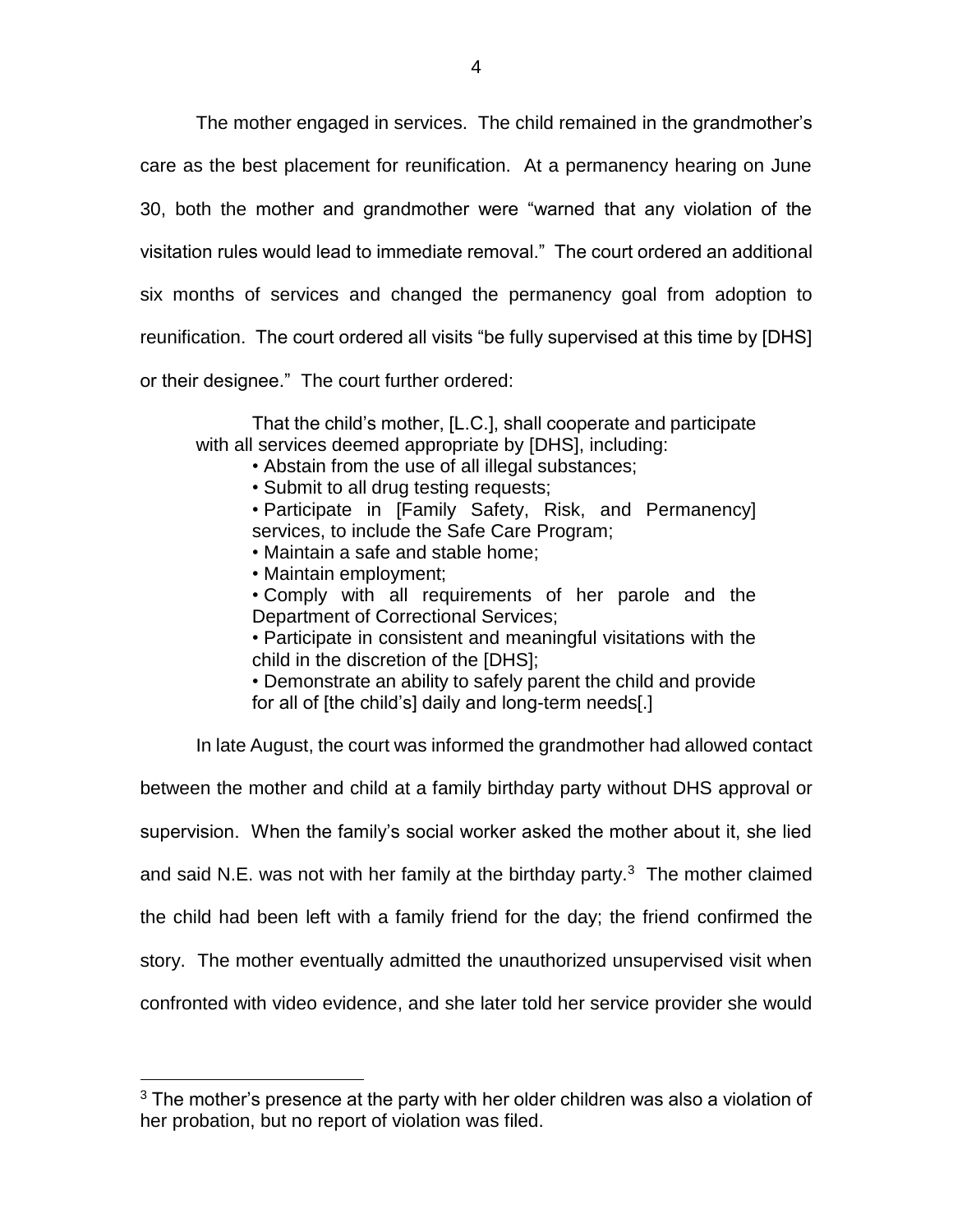The mother engaged in services. The child remained in the grandmother's care as the best placement for reunification. At a permanency hearing on June 30, both the mother and grandmother were "warned that any violation of the visitation rules would lead to immediate removal." The court ordered an additional six months of services and changed the permanency goal from adoption to reunification. The court ordered all visits "be fully supervised at this time by [DHS] or their designee." The court further ordered:

That the child's mother, [L.C.], shall cooperate and participate with all services deemed appropriate by [DHS], including:

- Abstain from the use of all illegal substances;
- Submit to all drug testing requests;

• Participate in [Family Safety, Risk, and Permanency] services, to include the Safe Care Program;

- Maintain a safe and stable home;
- Maintain employment;

 $\overline{a}$ 

- Comply with all requirements of her parole and the Department of Correctional Services;
- Participate in consistent and meaningful visitations with the child in the discretion of the [DHS];
- Demonstrate an ability to safely parent the child and provide for all of [the child's] daily and long-term needs[.]

In late August, the court was informed the grandmother had allowed contact

between the mother and child at a family birthday party without DHS approval or supervision. When the family's social worker asked the mother about it, she lied and said N.E. was not with her family at the birthday party. $3$  The mother claimed the child had been left with a family friend for the day; the friend confirmed the story. The mother eventually admitted the unauthorized unsupervised visit when confronted with video evidence, and she later told her service provider she would

 $3$  The mother's presence at the party with her older children was also a violation of her probation, but no report of violation was filed.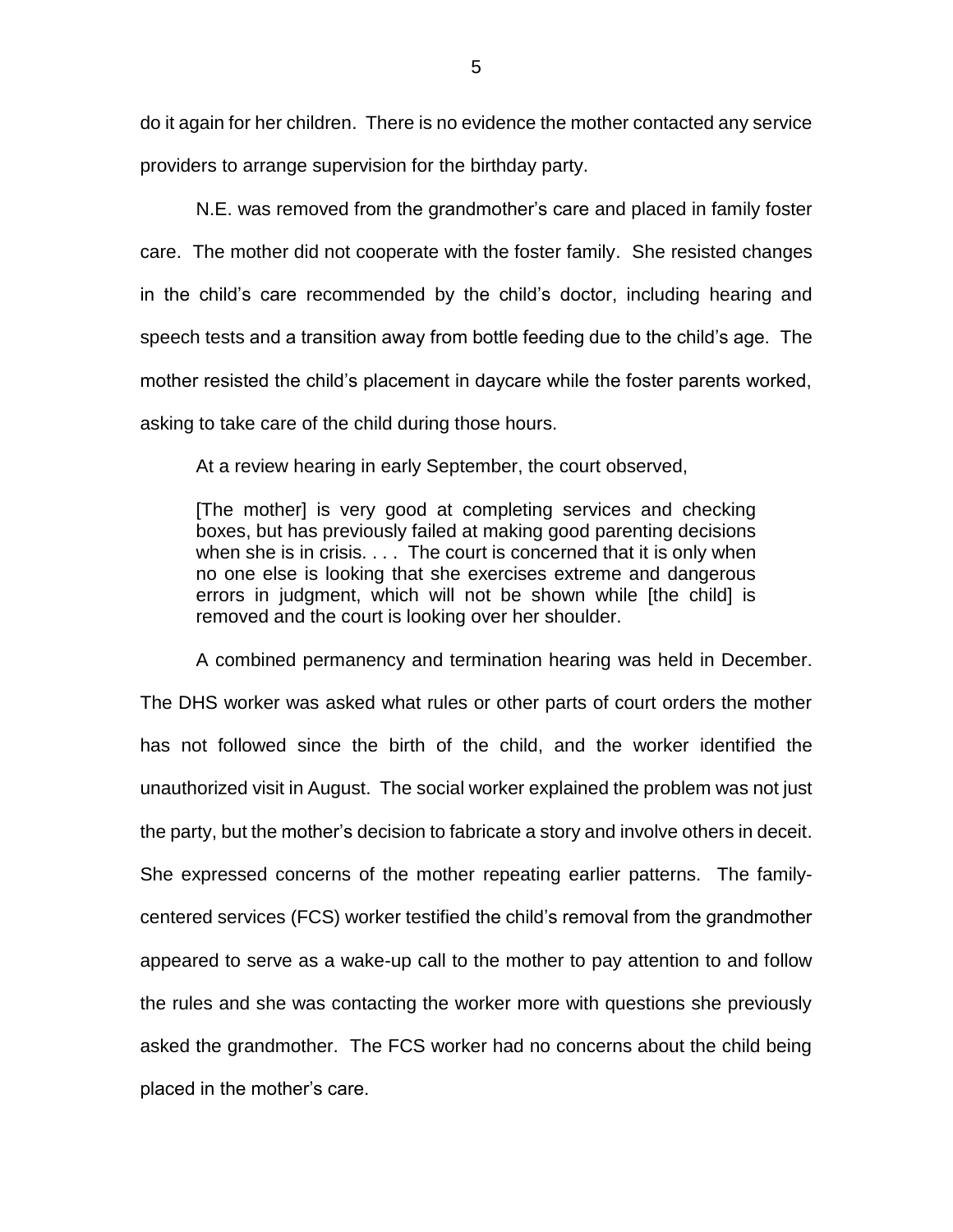do it again for her children. There is no evidence the mother contacted any service providers to arrange supervision for the birthday party.

N.E. was removed from the grandmother's care and placed in family foster care. The mother did not cooperate with the foster family. She resisted changes in the child's care recommended by the child's doctor, including hearing and speech tests and a transition away from bottle feeding due to the child's age. The mother resisted the child's placement in daycare while the foster parents worked, asking to take care of the child during those hours.

At a review hearing in early September, the court observed,

[The mother] is very good at completing services and checking boxes, but has previously failed at making good parenting decisions when she is in crisis. . . . The court is concerned that it is only when no one else is looking that she exercises extreme and dangerous errors in judgment, which will not be shown while [the child] is removed and the court is looking over her shoulder.

A combined permanency and termination hearing was held in December. The DHS worker was asked what rules or other parts of court orders the mother has not followed since the birth of the child, and the worker identified the unauthorized visit in August. The social worker explained the problem was not just the party, but the mother's decision to fabricate a story and involve others in deceit. She expressed concerns of the mother repeating earlier patterns. The familycentered services (FCS) worker testified the child's removal from the grandmother appeared to serve as a wake-up call to the mother to pay attention to and follow the rules and she was contacting the worker more with questions she previously asked the grandmother. The FCS worker had no concerns about the child being placed in the mother's care.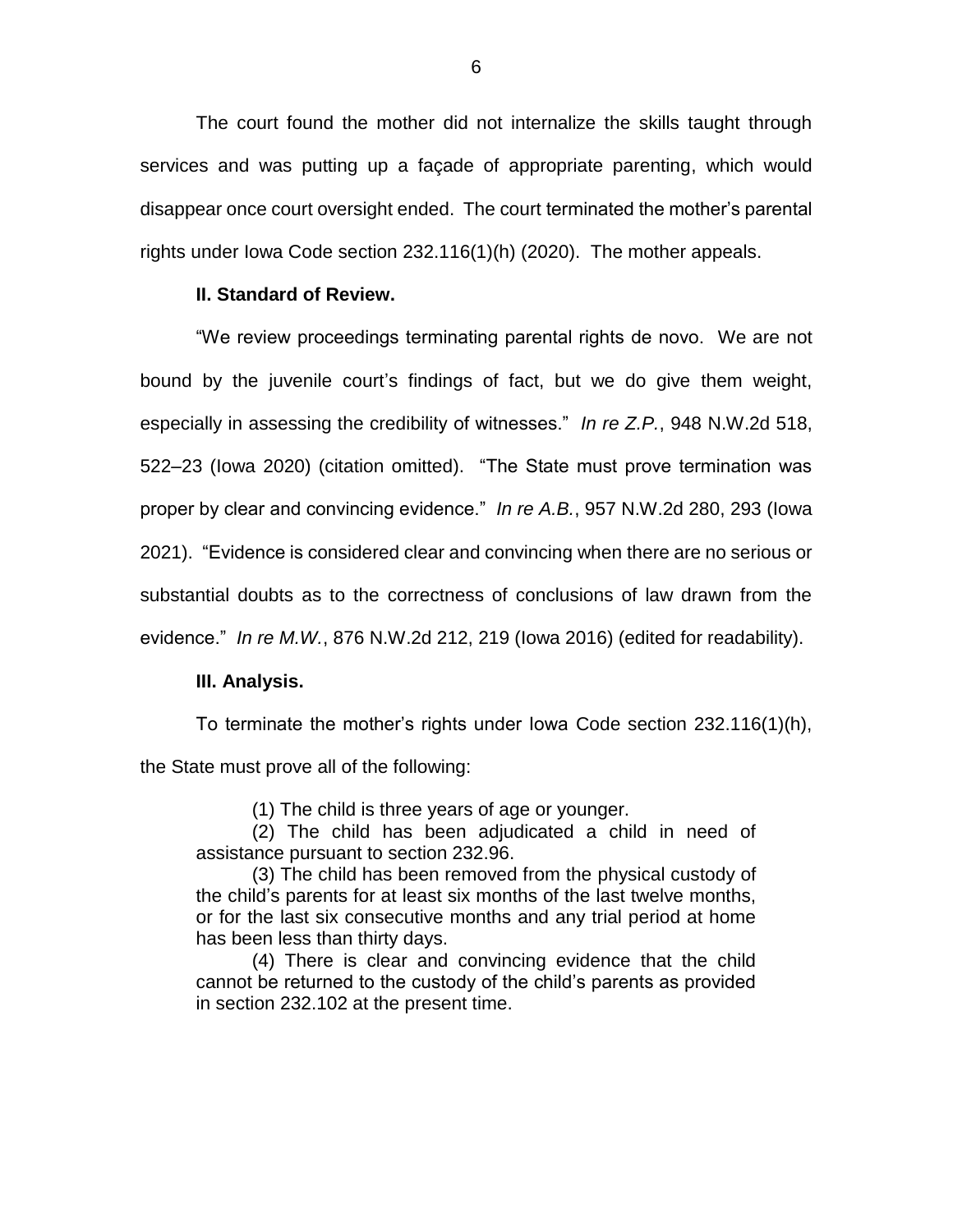The court found the mother did not internalize the skills taught through services and was putting up a façade of appropriate parenting, which would disappear once court oversight ended. The court terminated the mother's parental rights under Iowa Code section 232.116(1)(h) (2020). The mother appeals.

#### **II. Standard of Review.**

"We review proceedings terminating parental rights de novo. We are not bound by the juvenile court's findings of fact, but we do give them weight, especially in assessing the credibility of witnesses." *In re Z.P.*, 948 N.W.2d 518, 522–23 (Iowa 2020) (citation omitted). "The State must prove termination was proper by clear and convincing evidence." *In re A.B.*, 957 N.W.2d 280, 293 (Iowa 2021). "Evidence is considered clear and convincing when there are no serious or substantial doubts as to the correctness of conclusions of law drawn from the evidence." *In re M.W.*, 876 N.W.2d 212, 219 (Iowa 2016) (edited for readability).

#### **III. Analysis.**

To terminate the mother's rights under Iowa Code section 232.116(1)(h), the State must prove all of the following:

(1) The child is three years of age or younger.

(2) The child has been adjudicated a child in need of assistance pursuant to section 232.96.

(3) The child has been removed from the physical custody of the child's parents for at least six months of the last twelve months, or for the last six consecutive months and any trial period at home has been less than thirty days.

(4) There is clear and convincing evidence that the child cannot be returned to the custody of the child's parents as provided in section 232.102 at the present time.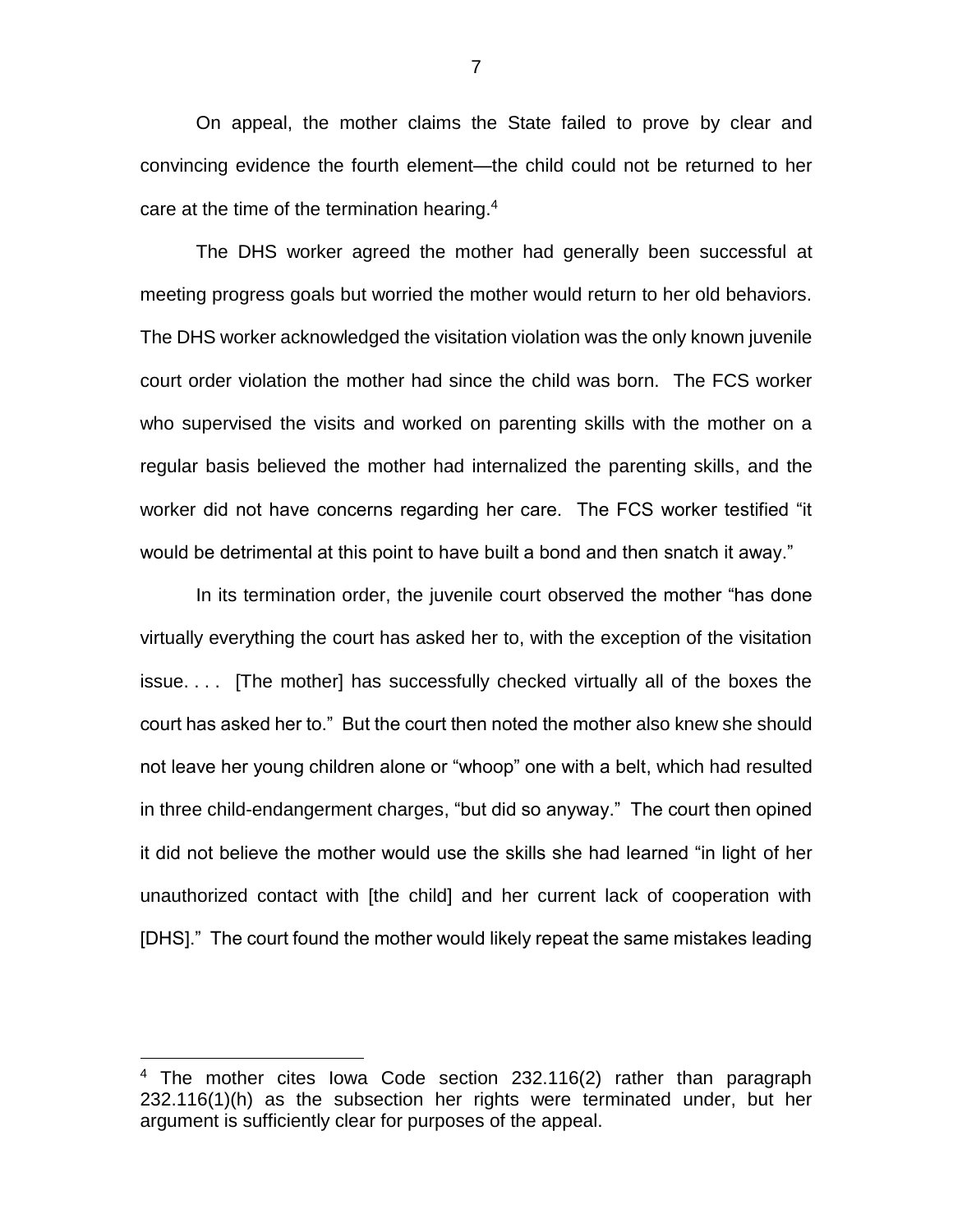On appeal, the mother claims the State failed to prove by clear and convincing evidence the fourth element—the child could not be returned to her care at the time of the termination hearing. 4

The DHS worker agreed the mother had generally been successful at meeting progress goals but worried the mother would return to her old behaviors. The DHS worker acknowledged the visitation violation was the only known juvenile court order violation the mother had since the child was born. The FCS worker who supervised the visits and worked on parenting skills with the mother on a regular basis believed the mother had internalized the parenting skills, and the worker did not have concerns regarding her care. The FCS worker testified "it would be detrimental at this point to have built a bond and then snatch it away."

In its termination order, the juvenile court observed the mother "has done virtually everything the court has asked her to, with the exception of the visitation issue. . . . [The mother] has successfully checked virtually all of the boxes the court has asked her to." But the court then noted the mother also knew she should not leave her young children alone or "whoop" one with a belt, which had resulted in three child-endangerment charges, "but did so anyway." The court then opined it did not believe the mother would use the skills she had learned "in light of her unauthorized contact with [the child] and her current lack of cooperation with [DHS]." The court found the mother would likely repeat the same mistakes leading

 $\overline{a}$ 

7

 $4$  The mother cites lowa Code section 232.116(2) rather than paragraph 232.116(1)(h) as the subsection her rights were terminated under, but her argument is sufficiently clear for purposes of the appeal.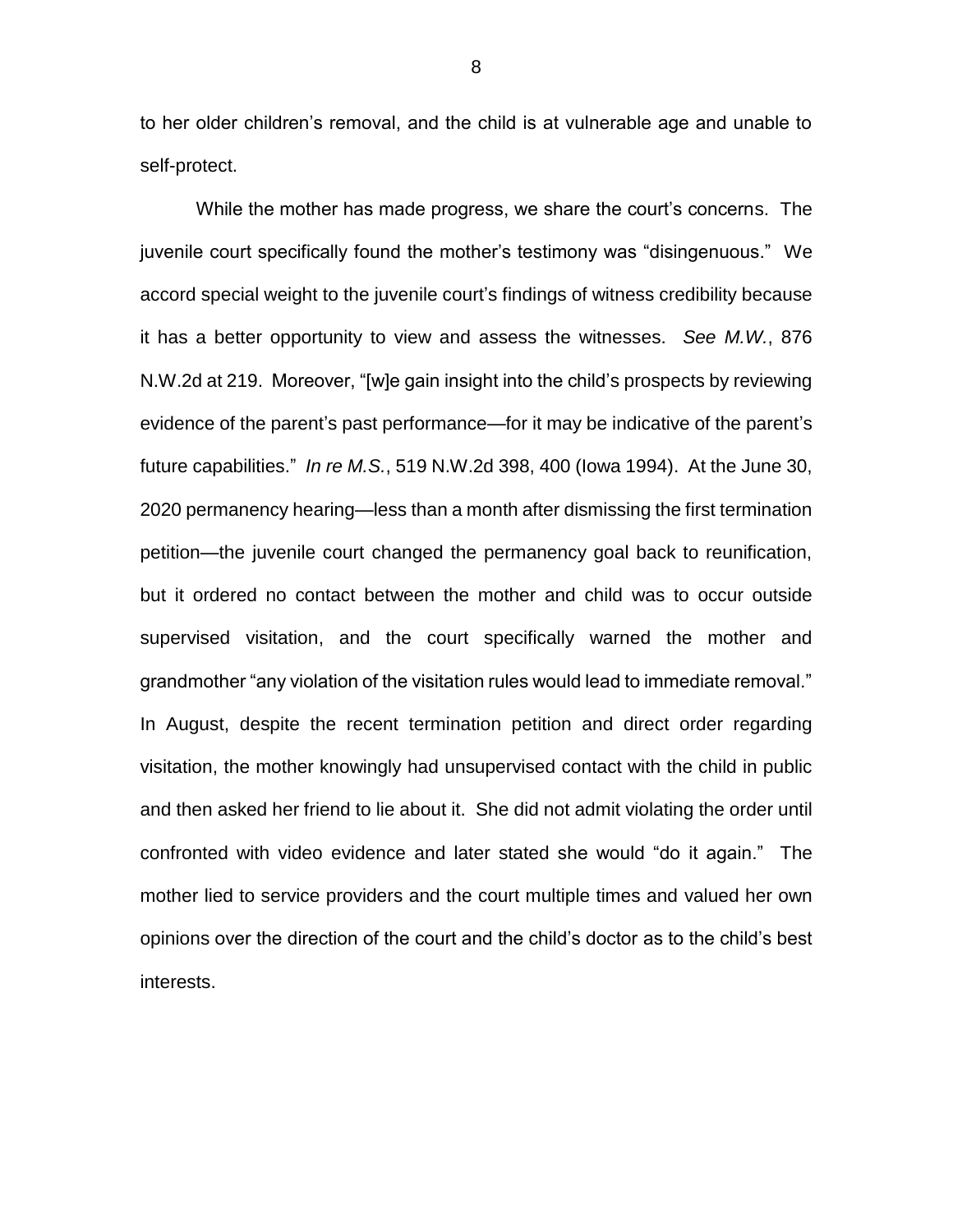to her older children's removal, and the child is at vulnerable age and unable to self-protect.

While the mother has made progress, we share the court's concerns. The juvenile court specifically found the mother's testimony was "disingenuous." We accord special weight to the juvenile court's findings of witness credibility because it has a better opportunity to view and assess the witnesses. *See M.W.*, 876 N.W.2d at 219. Moreover, "[w]e gain insight into the child's prospects by reviewing evidence of the parent's past performance—for it may be indicative of the parent's future capabilities." *In re M.S.*, 519 N.W.2d 398, 400 (Iowa 1994). At the June 30, 2020 permanency hearing—less than a month after dismissing the first termination petition—the juvenile court changed the permanency goal back to reunification, but it ordered no contact between the mother and child was to occur outside supervised visitation, and the court specifically warned the mother and grandmother "any violation of the visitation rules would lead to immediate removal." In August, despite the recent termination petition and direct order regarding visitation, the mother knowingly had unsupervised contact with the child in public and then asked her friend to lie about it. She did not admit violating the order until confronted with video evidence and later stated she would "do it again." The mother lied to service providers and the court multiple times and valued her own opinions over the direction of the court and the child's doctor as to the child's best interests.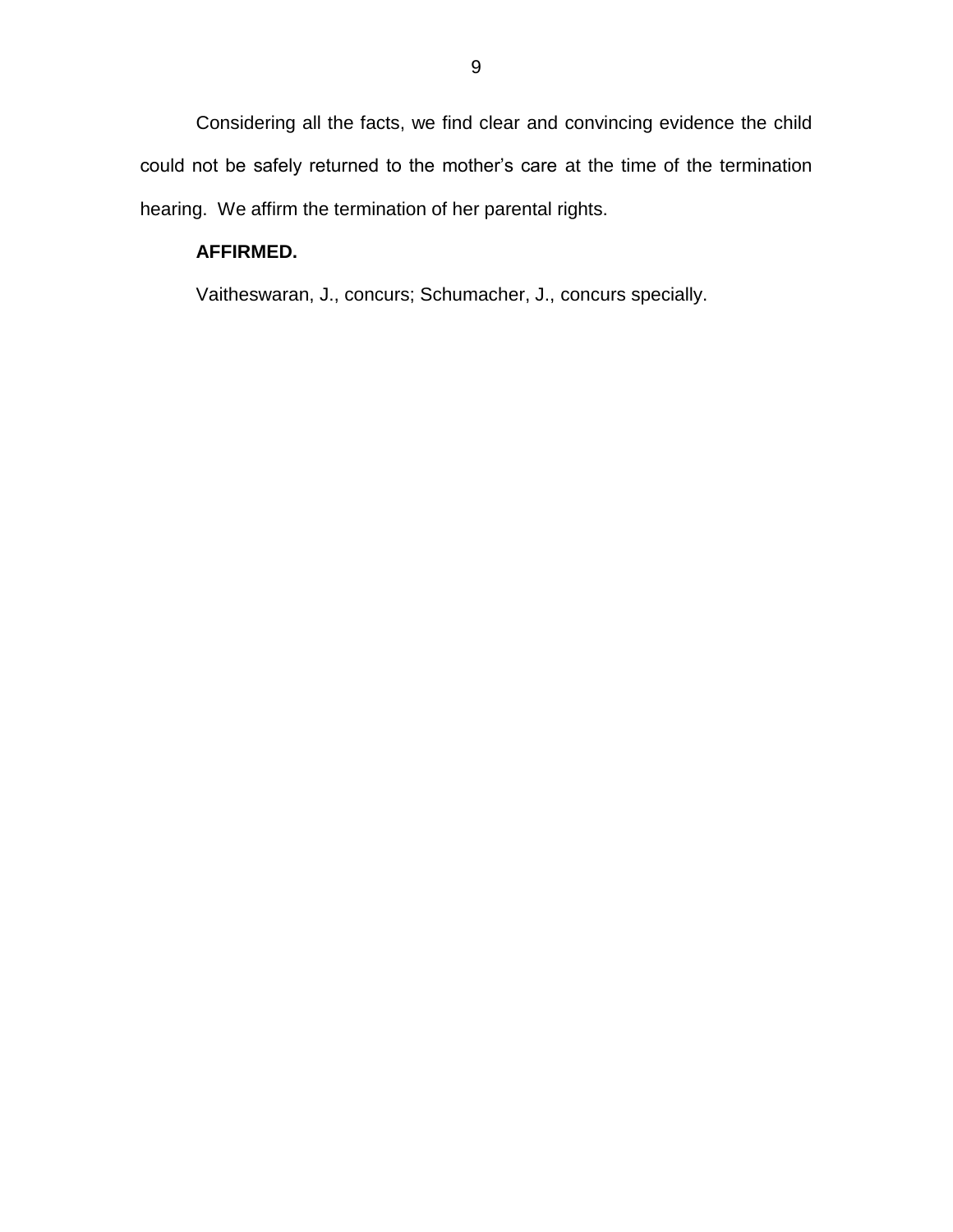Considering all the facts, we find clear and convincing evidence the child could not be safely returned to the mother's care at the time of the termination hearing. We affirm the termination of her parental rights.

# **AFFIRMED.**

Vaitheswaran, J., concurs; Schumacher, J., concurs specially.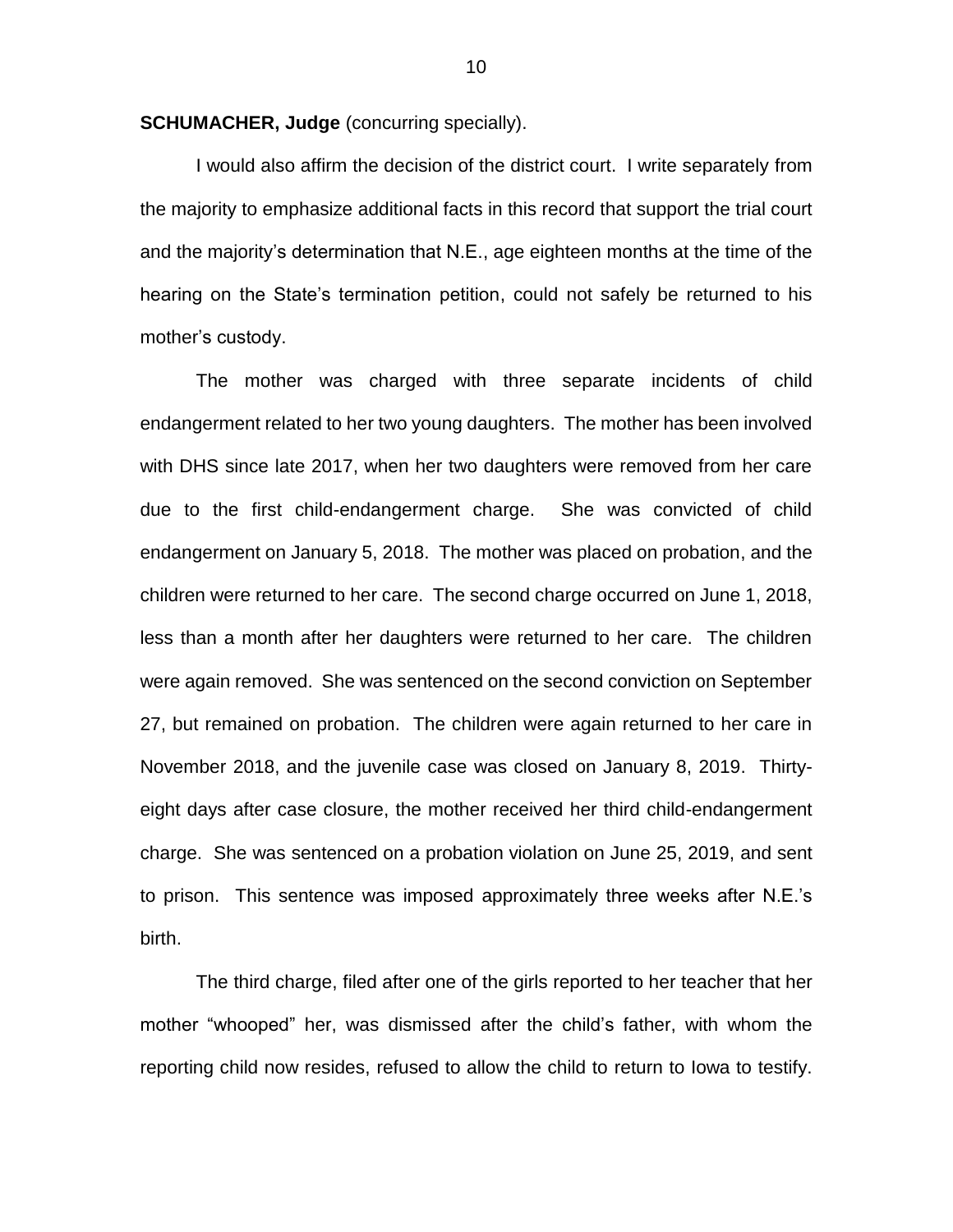**SCHUMACHER, Judge** (concurring specially).

I would also affirm the decision of the district court. I write separately from the majority to emphasize additional facts in this record that support the trial court and the majority's determination that N.E., age eighteen months at the time of the hearing on the State's termination petition, could not safely be returned to his mother's custody.

The mother was charged with three separate incidents of child endangerment related to her two young daughters. The mother has been involved with DHS since late 2017, when her two daughters were removed from her care due to the first child-endangerment charge. She was convicted of child endangerment on January 5, 2018. The mother was placed on probation, and the children were returned to her care. The second charge occurred on June 1, 2018, less than a month after her daughters were returned to her care. The children were again removed. She was sentenced on the second conviction on September 27, but remained on probation. The children were again returned to her care in November 2018, and the juvenile case was closed on January 8, 2019. Thirtyeight days after case closure, the mother received her third child-endangerment charge. She was sentenced on a probation violation on June 25, 2019, and sent to prison. This sentence was imposed approximately three weeks after N.E.'s birth.

The third charge, filed after one of the girls reported to her teacher that her mother "whooped" her, was dismissed after the child's father, with whom the reporting child now resides, refused to allow the child to return to Iowa to testify.

10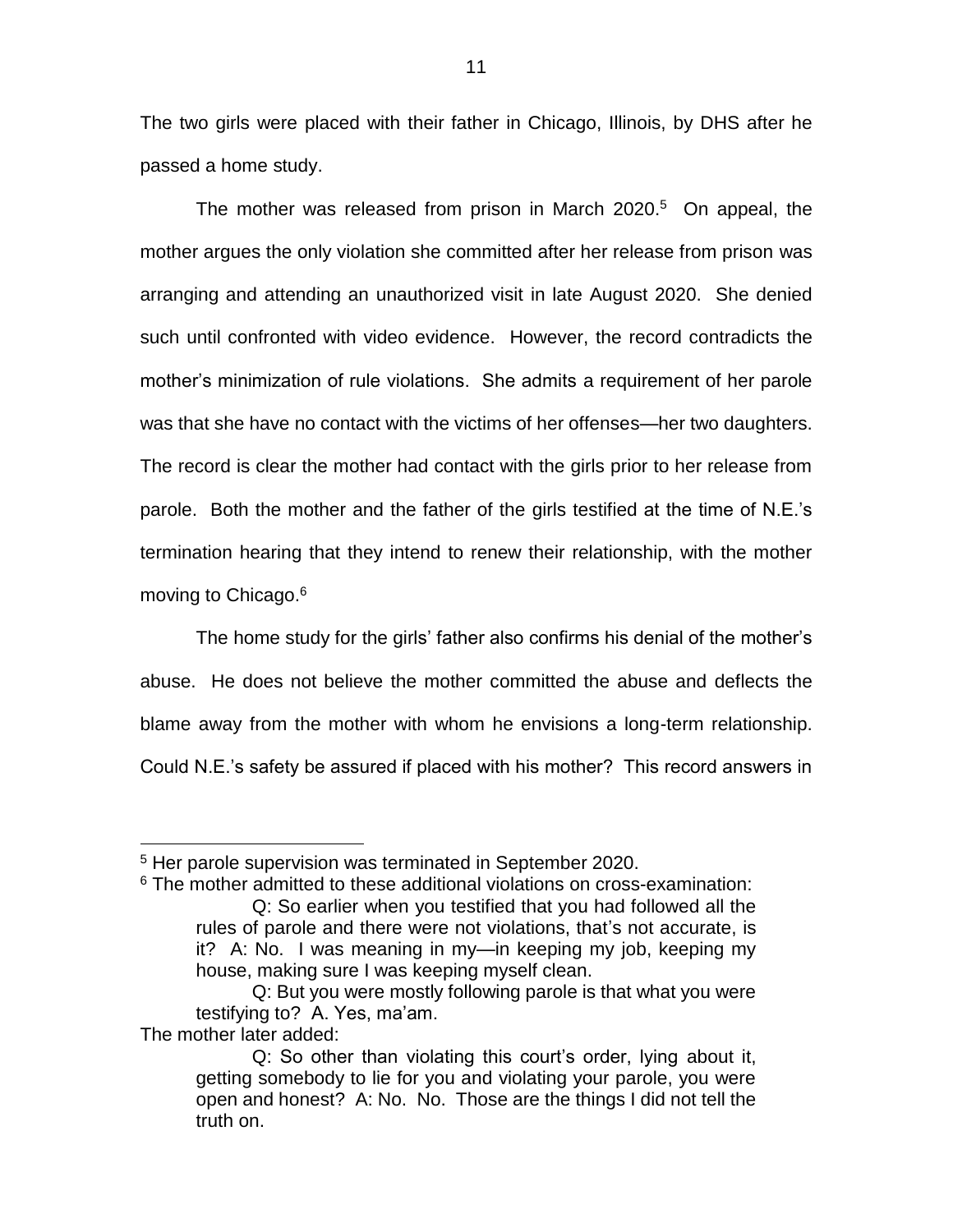The two girls were placed with their father in Chicago, Illinois, by DHS after he passed a home study.

The mother was released from prison in March 2020. $5$  On appeal, the mother argues the only violation she committed after her release from prison was arranging and attending an unauthorized visit in late August 2020. She denied such until confronted with video evidence. However, the record contradicts the mother's minimization of rule violations. She admits a requirement of her parole was that she have no contact with the victims of her offenses—her two daughters. The record is clear the mother had contact with the girls prior to her release from parole. Both the mother and the father of the girls testified at the time of N.E.'s termination hearing that they intend to renew their relationship, with the mother moving to Chicago.<sup>6</sup>

The home study for the girls' father also confirms his denial of the mother's abuse. He does not believe the mother committed the abuse and deflects the blame away from the mother with whom he envisions a long-term relationship. Could N.E.'s safety be assured if placed with his mother? This record answers in

The mother later added:

 $\overline{a}$ 

<sup>&</sup>lt;sup>5</sup> Her parole supervision was terminated in September 2020.

 $6$  The mother admitted to these additional violations on cross-examination: Q: So earlier when you testified that you had followed all the rules of parole and there were not violations, that's not accurate, is it? A: No. I was meaning in my—in keeping my job, keeping my house, making sure I was keeping myself clean.

Q: But you were mostly following parole is that what you were testifying to? A. Yes, ma'am.

Q: So other than violating this court's order, lying about it, getting somebody to lie for you and violating your parole, you were open and honest? A: No. No. Those are the things I did not tell the truth on.